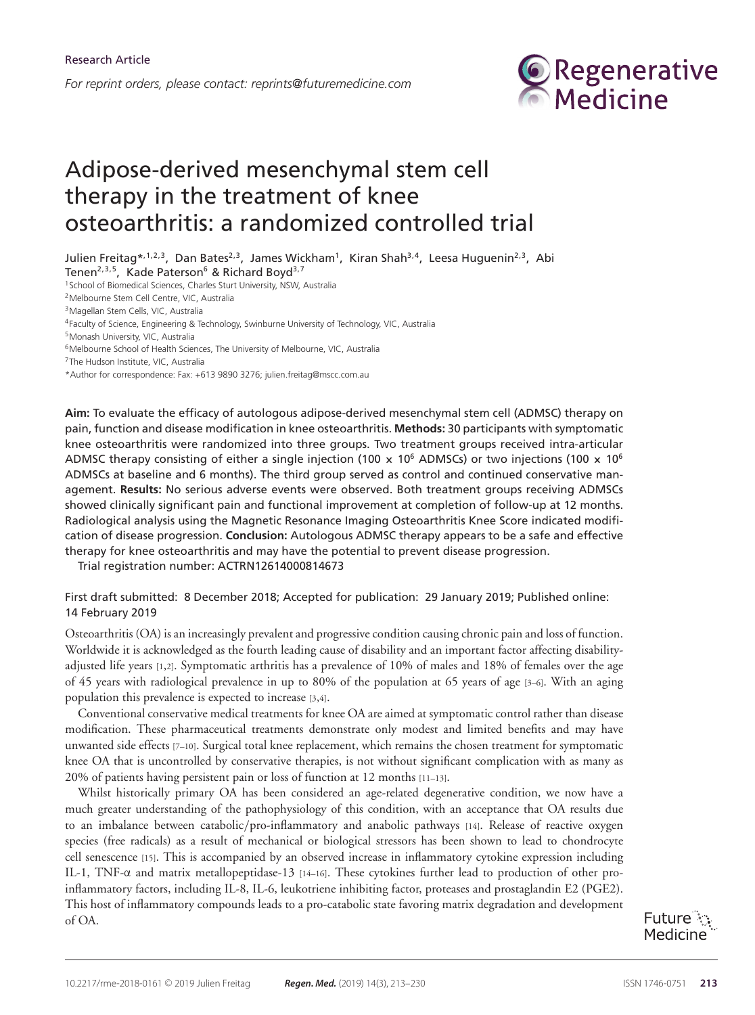

# Adipose-derived mesenchymal stem cell therapy in the treatment of knee osteoarthritis: a randomized controlled trial

Julien Freitag\*,<sup>1,2,3</sup>, Dan Bates<sup>2,3</sup>, James Wickham<sup>1</sup>, Kiran Shah<sup>3,4</sup>, Leesa Huquenin<sup>2,3</sup>, Abi Tenen<sup>2,3,5</sup>, Kade Paterson<sup>6</sup> & Richard Boyd<sup>3,7</sup>

1School of Biomedical Sciences, Charles Sturt University, NSW, Australia

2Melbourne Stem Cell Centre, VIC, Australia

<sup>3</sup>Magellan Stem Cells, VIC, Australia

<sup>4</sup>Faculty of Science, Engineering & Technology, Swinburne University of Technology, VIC, Australia

5Monash University, VIC, Australia

6Melbourne School of Health Sciences, The University of Melbourne, VIC, Australia

7The Hudson Institute, VIC, Australia

\*Author for correspondence: Fax: +613 9890 3276; julien.freitag@mscc.com.au

**Aim:** To evaluate the efficacy of autologous adipose-derived mesenchymal stem cell (ADMSC) therapy on pain, function and disease modification in knee osteoarthritis. **Methods:** 30 participants with symptomatic knee osteoarthritis were randomized into three groups. Two treatment groups received intra-articular ADMSC therapy consisting of either a single injection (100 **×** 106 ADMSCs) or two injections (100 **×** 106 ADMSCs at baseline and 6 months). The third group served as control and continued conservative management. **Results:** No serious adverse events were observed. Both treatment groups receiving ADMSCs showed clinically significant pain and functional improvement at completion of follow-up at 12 months. Radiological analysis using the Magnetic Resonance Imaging Osteoarthritis Knee Score indicated modification of disease progression. **Conclusion:** Autologous ADMSC therapy appears to be a safe and effective therapy for knee osteoarthritis and may have the potential to prevent disease progression.

Trial registration number: ACTRN12614000814673

# First draft submitted: 8 December 2018; Accepted for publication: 29 January 2019; Published online: 14 February 2019

Osteoarthritis (OA) is an increasingly prevalent and progressive condition causing chronic pain and loss of function. Worldwide it is acknowledged as the fourth leading cause of disability and an important factor affecting disabilityadjusted life years [1,2]. Symptomatic arthritis has a prevalence of 10% of males and 18% of females over the age of 45 years with radiological prevalence in up to 80% of the population at 65 years of age [3–6]. With an aging population this prevalence is expected to increase [3,4].

Conventional conservative medical treatments for knee OA are aimed at symptomatic control rather than disease modification. These pharmaceutical treatments demonstrate only modest and limited benefits and may have unwanted side effects [7–10]. Surgical total knee replacement, which remains the chosen treatment for symptomatic knee OA that is uncontrolled by conservative therapies, is not without significant complication with as many as 20% of patients having persistent pain or loss of function at 12 months [11–13].

Whilst historically primary OA has been considered an age-related degenerative condition, we now have a much greater understanding of the pathophysiology of this condition, with an acceptance that OA results due to an imbalance between catabolic/pro-inflammatory and anabolic pathways [14]. Release of reactive oxygen species (free radicals) as a result of mechanical or biological stressors has been shown to lead to chondrocyte cell senescence [15]. This is accompanied by an observed increase in inflammatory cytokine expression including IL-1, TNF-α and matrix metallopeptidase-13 [14–16]. These cytokines further lead to production of other proinflammatory factors, including IL-8, IL-6, leukotriene inhibiting factor, proteases and prostaglandin E2 (PGE2). This host of inflammatory compounds leads to a pro-catabolic state favoring matrix degradation and development of OA.

Future : Medicine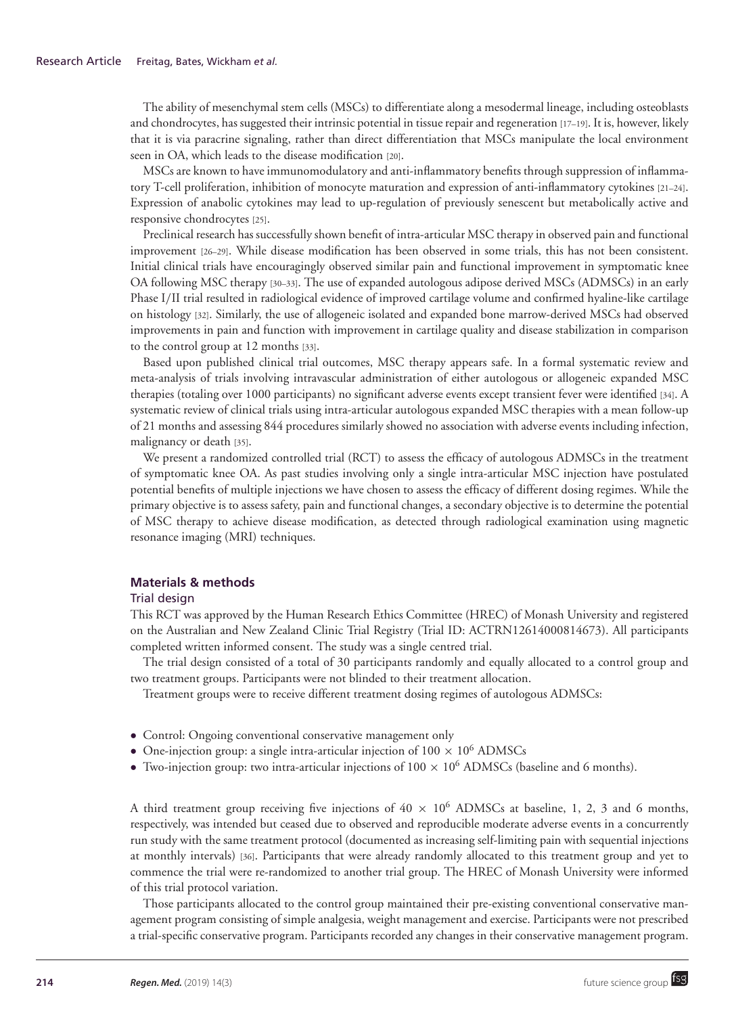The ability of mesenchymal stem cells (MSCs) to differentiate along a mesodermal lineage, including osteoblasts and chondrocytes, has suggested their intrinsic potential in tissue repair and regeneration [17–19]. It is, however, likely that it is via paracrine signaling, rather than direct differentiation that MSCs manipulate the local environment seen in OA, which leads to the disease modification [20].

MSCs are known to have immunomodulatory and anti-inflammatory benefits through suppression of inflammatory T-cell proliferation, inhibition of monocyte maturation and expression of anti-inflammatory cytokines [21–24]. Expression of anabolic cytokines may lead to up-regulation of previously senescent but metabolically active and responsive chondrocytes [25].

Preclinical research has successfully shown benefit of intra-articular MSC therapy in observed pain and functional improvement [26–29]. While disease modification has been observed in some trials, this has not been consistent. Initial clinical trials have encouragingly observed similar pain and functional improvement in symptomatic knee OA following MSC therapy [30–33]. The use of expanded autologous adipose derived MSCs (ADMSCs) in an early Phase I/II trial resulted in radiological evidence of improved cartilage volume and confirmed hyaline-like cartilage on histology [32]. Similarly, the use of allogeneic isolated and expanded bone marrow-derived MSCs had observed improvements in pain and function with improvement in cartilage quality and disease stabilization in comparison to the control group at 12 months [33].

Based upon published clinical trial outcomes, MSC therapy appears safe. In a formal systematic review and meta-analysis of trials involving intravascular administration of either autologous or allogeneic expanded MSC therapies (totaling over 1000 participants) no significant adverse events except transient fever were identified [34]. A systematic review of clinical trials using intra-articular autologous expanded MSC therapies with a mean follow-up of 21 months and assessing 844 procedures similarly showed no association with adverse events including infection, malignancy or death [35].

We present a randomized controlled trial (RCT) to assess the efficacy of autologous ADMSCs in the treatment of symptomatic knee OA. As past studies involving only a single intra-articular MSC injection have postulated potential benefits of multiple injections we have chosen to assess the efficacy of different dosing regimes. While the primary objective is to assess safety, pain and functional changes, a secondary objective is to determine the potential of MSC therapy to achieve disease modification, as detected through radiological examination using magnetic resonance imaging (MRI) techniques.

# **Materials & methods**

#### Trial design

This RCT was approved by the Human Research Ethics Committee (HREC) of Monash University and registered on the Australian and New Zealand Clinic Trial Registry (Trial ID: ACTRN12614000814673). All participants completed written informed consent. The study was a single centred trial.

The trial design consisted of a total of 30 participants randomly and equally allocated to a control group and two treatment groups. Participants were not blinded to their treatment allocation.

Treatment groups were to receive different treatment dosing regimes of autologous ADMSCs:

- Control: Ongoing conventional conservative management only
- One-injection group: a single intra-articular injection of  $100 \times 10^6$  ADMSCs
- Two-injection group: two intra-articular injections of  $100 \times 10^6$  ADMSCs (baseline and 6 months).

A third treatment group receiving five injections of  $40 \times 10^6$  ADMSCs at baseline, 1, 2, 3 and 6 months, respectively, was intended but ceased due to observed and reproducible moderate adverse events in a concurrently run study with the same treatment protocol (documented as increasing self-limiting pain with sequential injections at monthly intervals) [36]. Participants that were already randomly allocated to this treatment group and yet to commence the trial were re-randomized to another trial group. The HREC of Monash University were informed of this trial protocol variation.

Those participants allocated to the control group maintained their pre-existing conventional conservative management program consisting of simple analgesia, weight management and exercise. Participants were not prescribed a trial-specific conservative program. Participants recorded any changes in their conservative management program.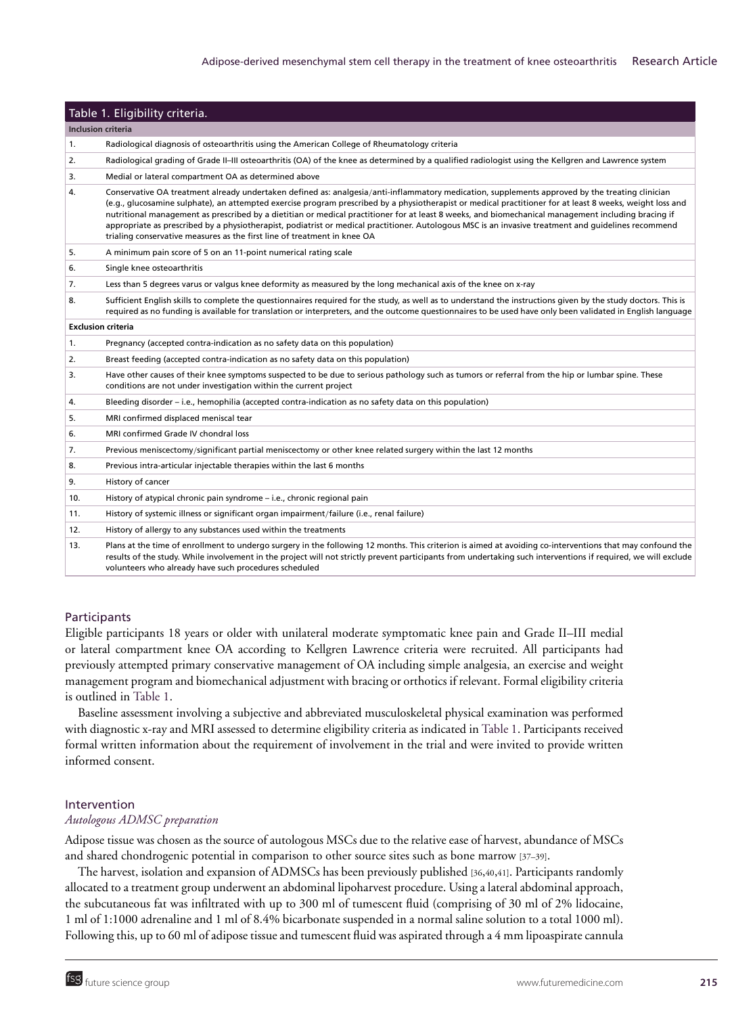|                           | Table 1. Eligibility criteria.                                                                                                                                                                                                                                                                                                                                                                                                                                                                                                                                                                                                                                                                          |
|---------------------------|---------------------------------------------------------------------------------------------------------------------------------------------------------------------------------------------------------------------------------------------------------------------------------------------------------------------------------------------------------------------------------------------------------------------------------------------------------------------------------------------------------------------------------------------------------------------------------------------------------------------------------------------------------------------------------------------------------|
| <b>Inclusion criteria</b> |                                                                                                                                                                                                                                                                                                                                                                                                                                                                                                                                                                                                                                                                                                         |
| 1.                        | Radiological diagnosis of osteoarthritis using the American College of Rheumatology criteria                                                                                                                                                                                                                                                                                                                                                                                                                                                                                                                                                                                                            |
| 2.                        | Radiological grading of Grade II-III osteoarthritis (OA) of the knee as determined by a qualified radiologist using the Kellgren and Lawrence system                                                                                                                                                                                                                                                                                                                                                                                                                                                                                                                                                    |
| 3.                        | Medial or lateral compartment OA as determined above                                                                                                                                                                                                                                                                                                                                                                                                                                                                                                                                                                                                                                                    |
| 4.                        | Conservative OA treatment already undertaken defined as: analgesia/anti-inflammatory medication, supplements approved by the treating clinician<br>(e.g., glucosamine sulphate), an attempted exercise program prescribed by a physiotherapist or medical practitioner for at least 8 weeks, weight loss and<br>nutritional management as prescribed by a dietitian or medical practitioner for at least 8 weeks, and biomechanical management including bracing if<br>appropriate as prescribed by a physiotherapist, podiatrist or medical practitioner. Autologous MSC is an invasive treatment and quidelines recommend<br>trialing conservative measures as the first line of treatment in knee OA |
| 5.                        | A minimum pain score of 5 on an 11-point numerical rating scale                                                                                                                                                                                                                                                                                                                                                                                                                                                                                                                                                                                                                                         |
| 6.                        | Single knee osteoarthritis                                                                                                                                                                                                                                                                                                                                                                                                                                                                                                                                                                                                                                                                              |
| 7.                        | Less than 5 degrees varus or valgus knee deformity as measured by the long mechanical axis of the knee on x-ray                                                                                                                                                                                                                                                                                                                                                                                                                                                                                                                                                                                         |
| 8.                        | Sufficient English skills to complete the questionnaires required for the study, as well as to understand the instructions given by the study doctors. This is<br>required as no funding is available for translation or interpreters, and the outcome questionnaires to be used have only been validated in English language                                                                                                                                                                                                                                                                                                                                                                           |
|                           | <b>Exclusion criteria</b>                                                                                                                                                                                                                                                                                                                                                                                                                                                                                                                                                                                                                                                                               |
| 1.                        | Pregnancy (accepted contra-indication as no safety data on this population)                                                                                                                                                                                                                                                                                                                                                                                                                                                                                                                                                                                                                             |
| 2.                        | Breast feeding (accepted contra-indication as no safety data on this population)                                                                                                                                                                                                                                                                                                                                                                                                                                                                                                                                                                                                                        |
| 3.                        | Have other causes of their knee symptoms suspected to be due to serious pathology such as tumors or referral from the hip or lumbar spine. These<br>conditions are not under investigation within the current project                                                                                                                                                                                                                                                                                                                                                                                                                                                                                   |
| 4.                        | Bleeding disorder - i.e., hemophilia (accepted contra-indication as no safety data on this population)                                                                                                                                                                                                                                                                                                                                                                                                                                                                                                                                                                                                  |
| 5.                        | MRI confirmed displaced meniscal tear                                                                                                                                                                                                                                                                                                                                                                                                                                                                                                                                                                                                                                                                   |
| 6.                        | MRI confirmed Grade IV chondral loss                                                                                                                                                                                                                                                                                                                                                                                                                                                                                                                                                                                                                                                                    |
| 7.                        | Previous meniscectomy/significant partial meniscectomy or other knee related surgery within the last 12 months                                                                                                                                                                                                                                                                                                                                                                                                                                                                                                                                                                                          |
| 8.                        | Previous intra-articular injectable therapies within the last 6 months                                                                                                                                                                                                                                                                                                                                                                                                                                                                                                                                                                                                                                  |
| 9.                        | History of cancer                                                                                                                                                                                                                                                                                                                                                                                                                                                                                                                                                                                                                                                                                       |
| 10.                       | History of atypical chronic pain syndrome - i.e., chronic regional pain                                                                                                                                                                                                                                                                                                                                                                                                                                                                                                                                                                                                                                 |
| 11.                       | History of systemic illness or significant organ impairment/failure (i.e., renal failure)                                                                                                                                                                                                                                                                                                                                                                                                                                                                                                                                                                                                               |
| 12.                       | History of allergy to any substances used within the treatments                                                                                                                                                                                                                                                                                                                                                                                                                                                                                                                                                                                                                                         |
| 13.                       | Plans at the time of enrollment to undergo surgery in the following 12 months. This criterion is aimed at avoiding co-interventions that may confound the<br>results of the study. While involvement in the project will not strictly prevent participants from undertaking such interventions if required, we will exclude<br>volunteers who already have such procedures scheduled                                                                                                                                                                                                                                                                                                                    |

## **Participants**

Eligible participants 18 years or older with unilateral moderate symptomatic knee pain and Grade II–III medial or lateral compartment knee OA according to Kellgren Lawrence criteria were recruited. All participants had previously attempted primary conservative management of OA including simple analgesia, an exercise and weight management program and biomechanical adjustment with bracing or orthotics if relevant. Formal eligibility criteria is outlined in Table 1.

Baseline assessment involving a subjective and abbreviated musculoskeletal physical examination was performed with diagnostic x-ray and MRI assessed to determine eligibility criteria as indicated in Table 1. Participants received formal written information about the requirement of involvement in the trial and were invited to provide written informed consent.

## Intervention

## *Autologous ADMSC preparation*

Adipose tissue was chosen as the source of autologous MSCs due to the relative ease of harvest, abundance of MSCs and shared chondrogenic potential in comparison to other source sites such as bone marrow [37–39].

The harvest, isolation and expansion of ADMSCs has been previously published [36,40,41]. Participants randomly allocated to a treatment group underwent an abdominal lipoharvest procedure. Using a lateral abdominal approach, the subcutaneous fat was infiltrated with up to 300 ml of tumescent fluid (comprising of 30 ml of 2% lidocaine, 1 ml of 1:1000 adrenaline and 1 ml of 8.4% bicarbonate suspended in a normal saline solution to a total 1000 ml). Following this, up to 60 ml of adipose tissue and tumescent fluid was aspirated through a 4 mm lipoaspirate cannula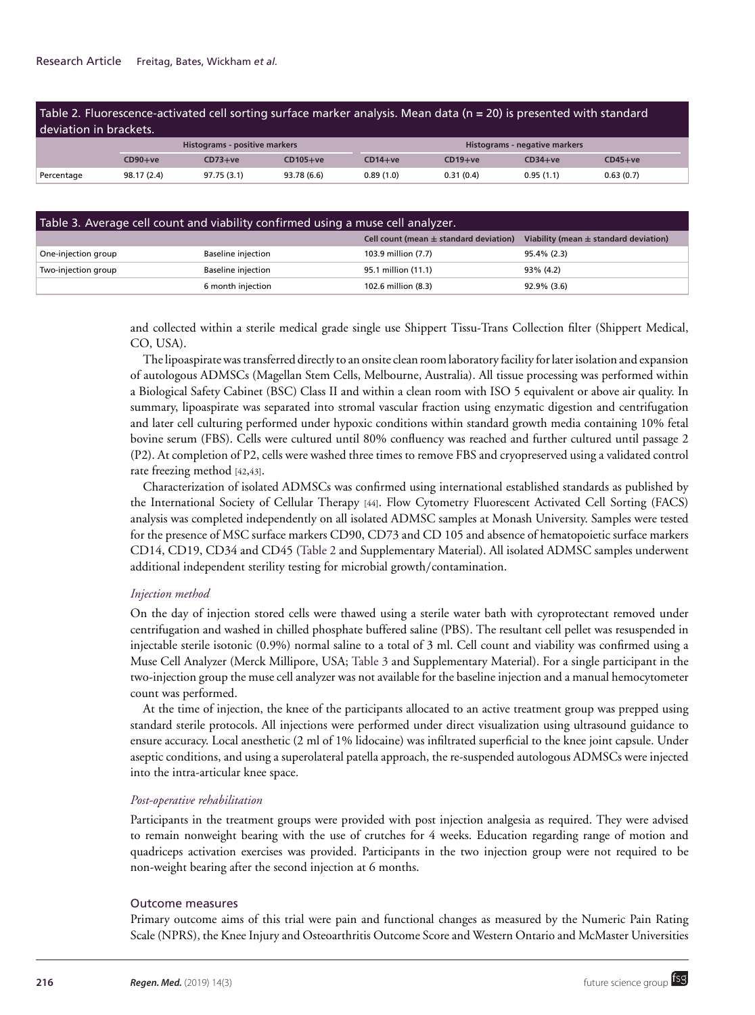Table 2. Fluorescence-activated cell sorting surface marker analysis. Mean data (n **=** 20) is presented with standard

| l deviation in brackets.      |             |             |             |                               |           |           |           |  |
|-------------------------------|-------------|-------------|-------------|-------------------------------|-----------|-----------|-----------|--|
| Histograms - positive markers |             |             |             | Histograms - negative markers |           |           |           |  |
|                               | CD90+ve     | $CD73+ve$   | $CD105+ve$  | $CD14+ve$                     | $CD19+ve$ | $CD34+ve$ | $CD45+ve$ |  |
| Percentage                    | 98.17 (2.4) | 97.75 (3.1) | 93.78 (6.6) | 0.89(1.0)                     | 0.31(0.4) | 0.95(1.1) | 0.63(0.7) |  |

| Table 3. Average cell count and viability confirmed using a muse cell analyzer. |                           |                                            |                                           |  |
|---------------------------------------------------------------------------------|---------------------------|--------------------------------------------|-------------------------------------------|--|
|                                                                                 |                           | Cell count (mean $\pm$ standard deviation) | Viability (mean $\pm$ standard deviation) |  |
| One-injection group                                                             | <b>Baseline injection</b> | 103.9 million (7.7)                        | 95.4% (2.3)                               |  |
| Two-injection group                                                             | <b>Baseline injection</b> | 95.1 million (11.1)                        | 93% (4.2)                                 |  |
|                                                                                 | 6 month injection         | 102.6 million (8.3)                        | 92.9% (3.6)                               |  |

and collected within a sterile medical grade single use Shippert Tissu-Trans Collection filter (Shippert Medical, CO, USA).

The lipoaspirate was transferred directly to an onsite clean room laboratory facility for later isolation and expansion of autologous ADMSCs (Magellan Stem Cells, Melbourne, Australia). All tissue processing was performed within a Biological Safety Cabinet (BSC) Class II and within a clean room with ISO 5 equivalent or above air quality. In summary, lipoaspirate was separated into stromal vascular fraction using enzymatic digestion and centrifugation and later cell culturing performed under hypoxic conditions within standard growth media containing 10% fetal bovine serum (FBS). Cells were cultured until 80% confluency was reached and further cultured until passage 2 (P2). At completion of P2, cells were washed three times to remove FBS and cryopreserved using a validated control rate freezing method [42,43].

Characterization of isolated ADMSCs was confirmed using international established standards as published by the International Society of Cellular Therapy [44]. Flow Cytometry Fluorescent Activated Cell Sorting (FACS) analysis was completed independently on all isolated ADMSC samples at Monash University. Samples were tested for the presence of MSC surface markers CD90, CD73 and CD 105 and absence of hematopoietic surface markers CD14, CD19, CD34 and CD45 (Table 2 and Supplementary Material). All isolated ADMSC samples underwent additional independent sterility testing for microbial growth/contamination.

## *Injection method*

On the day of injection stored cells were thawed using a sterile water bath with cyroprotectant removed under centrifugation and washed in chilled phosphate buffered saline (PBS). The resultant cell pellet was resuspended in injectable sterile isotonic (0.9%) normal saline to a total of 3 ml. Cell count and viability was confirmed using a Muse Cell Analyzer (Merck Millipore, USA; Table 3 and Supplementary Material). For a single participant in the two-injection group the muse cell analyzer was not available for the baseline injection and a manual hemocytometer count was performed.

At the time of injection, the knee of the participants allocated to an active treatment group was prepped using standard sterile protocols. All injections were performed under direct visualization using ultrasound guidance to ensure accuracy. Local anesthetic (2 ml of 1% lidocaine) was infiltrated superficial to the knee joint capsule. Under aseptic conditions, and using a superolateral patella approach, the re-suspended autologous ADMSCs were injected into the intra-articular knee space.

## *Post-operative rehabilitation*

Participants in the treatment groups were provided with post injection analgesia as required. They were advised to remain nonweight bearing with the use of crutches for 4 weeks. Education regarding range of motion and quadriceps activation exercises was provided. Participants in the two injection group were not required to be non-weight bearing after the second injection at 6 months.

## Outcome measures

Primary outcome aims of this trial were pain and functional changes as measured by the Numeric Pain Rating Scale (NPRS), the Knee Injury and Osteoarthritis Outcome Score and Western Ontario and McMaster Universities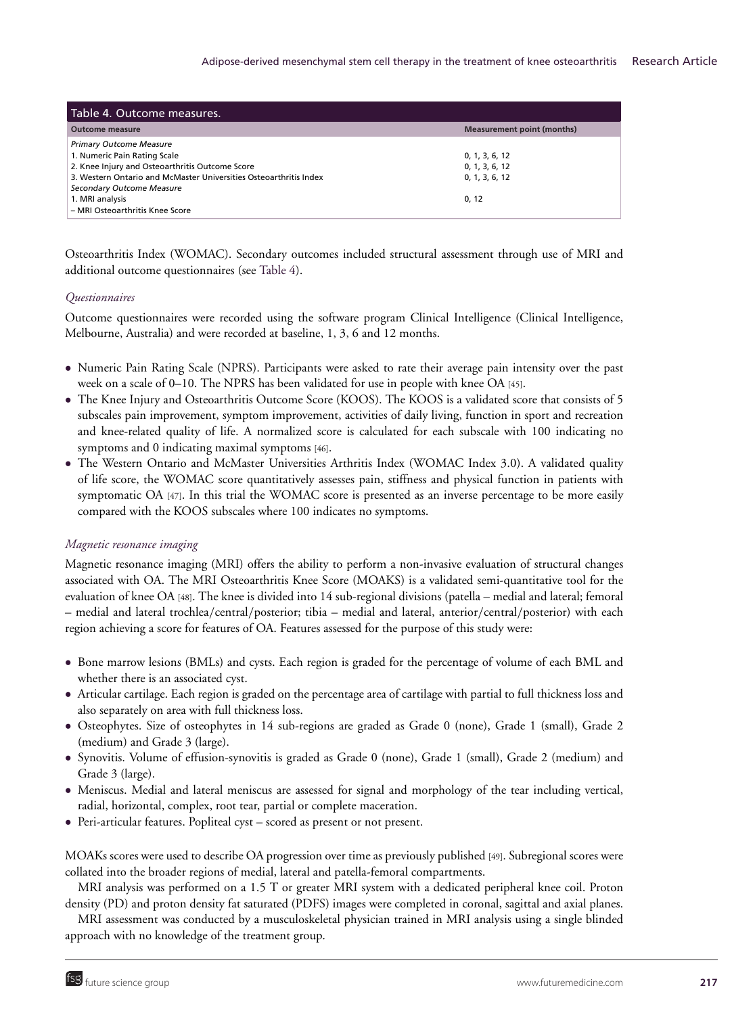| Table 4. Outcome measures.                                        |                                   |  |  |  |
|-------------------------------------------------------------------|-----------------------------------|--|--|--|
| <b>Outcome measure</b>                                            | <b>Measurement point (months)</b> |  |  |  |
| <b>Primary Outcome Measure</b>                                    |                                   |  |  |  |
| 1. Numeric Pain Rating Scale                                      | 0, 1, 3, 6, 12                    |  |  |  |
| 2. Knee Injury and Osteoarthritis Outcome Score                   | 0, 1, 3, 6, 12                    |  |  |  |
| 3. Western Ontario and McMaster Universities Osteoarthritis Index | 0, 1, 3, 6, 12                    |  |  |  |
| Secondary Outcome Measure                                         |                                   |  |  |  |
| 1. MRI analysis                                                   | 0.12                              |  |  |  |
| - MRI Osteoarthritis Knee Score                                   |                                   |  |  |  |

Osteoarthritis Index (WOMAC). Secondary outcomes included structural assessment through use of MRI and additional outcome questionnaires (see Table 4).

# *Questionnaires*

Outcome questionnaires were recorded using the software program Clinical Intelligence (Clinical Intelligence, Melbourne, Australia) and were recorded at baseline, 1, 3, 6 and 12 months.

- Numeric Pain Rating Scale (NPRS). Participants were asked to rate their average pain intensity over the past week on a scale of 0–10. The NPRS has been validated for use in people with knee OA [45].
- The Knee Injury and Osteoarthritis Outcome Score (KOOS). The KOOS is a validated score that consists of 5 subscales pain improvement, symptom improvement, activities of daily living, function in sport and recreation and knee-related quality of life. A normalized score is calculated for each subscale with 100 indicating no symptoms and 0 indicating maximal symptoms [46].
- The Western Ontario and McMaster Universities Arthritis Index (WOMAC Index 3.0). A validated quality of life score, the WOMAC score quantitatively assesses pain, stiffness and physical function in patients with symptomatic OA [47]. In this trial the WOMAC score is presented as an inverse percentage to be more easily compared with the KOOS subscales where 100 indicates no symptoms.

## *Magnetic resonance imaging*

Magnetic resonance imaging (MRI) offers the ability to perform a non-invasive evaluation of structural changes associated with OA. The MRI Osteoarthritis Knee Score (MOAKS) is a validated semi-quantitative tool for the evaluation of knee OA [48]. The knee is divided into 14 sub-regional divisions (patella – medial and lateral; femoral – medial and lateral trochlea/central/posterior; tibia – medial and lateral, anterior/central/posterior) with each region achieving a score for features of OA. Features assessed for the purpose of this study were:

- Bone marrow lesions (BMLs) and cysts. Each region is graded for the percentage of volume of each BML and whether there is an associated cyst.
- Articular cartilage. Each region is graded on the percentage area of cartilage with partial to full thickness loss and also separately on area with full thickness loss.
- Osteophytes. Size of osteophytes in 14 sub-regions are graded as Grade 0 (none), Grade 1 (small), Grade 2 (medium) and Grade 3 (large).
- Synovitis. Volume of effusion-synovitis is graded as Grade 0 (none), Grade 1 (small), Grade 2 (medium) and Grade 3 (large).
- Meniscus. Medial and lateral meniscus are assessed for signal and morphology of the tear including vertical, radial, horizontal, complex, root tear, partial or complete maceration.
- Peri-articular features. Popliteal cyst scored as present or not present.

MOAKs scores were used to describe OA progression over time as previously published [49]. Subregional scores were collated into the broader regions of medial, lateral and patella-femoral compartments.

MRI analysis was performed on a 1.5 T or greater MRI system with a dedicated peripheral knee coil. Proton density (PD) and proton density fat saturated (PDFS) images were completed in coronal, sagittal and axial planes.

MRI assessment was conducted by a musculoskeletal physician trained in MRI analysis using a single blinded approach with no knowledge of the treatment group.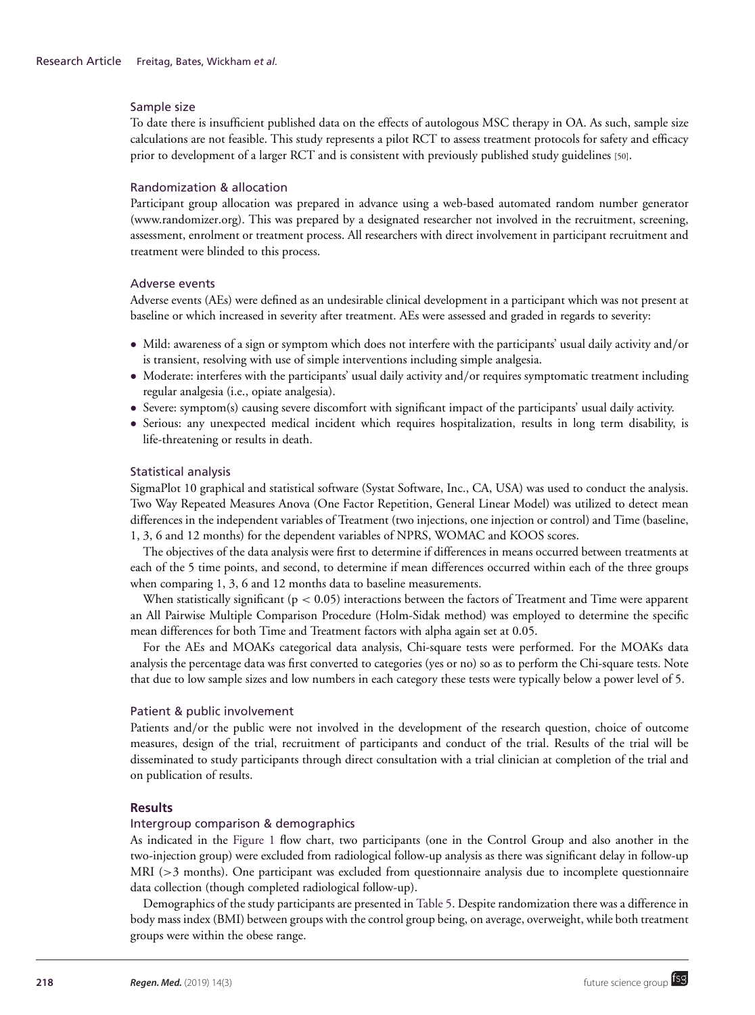# Sample size

To date there is insufficient published data on the effects of autologous MSC therapy in OA. As such, sample size calculations are not feasible. This study represents a pilot RCT to assess treatment protocols for safety and efficacy prior to development of a larger RCT and is consistent with previously published study guidelines [50].

# Randomization & allocation

Participant group allocation was prepared in advance using a web-based automated random number generator [\(www.randomizer.org\)](http://www.randomizer.org). This was prepared by a designated researcher not involved in the recruitment, screening, assessment, enrolment or treatment process. All researchers with direct involvement in participant recruitment and treatment were blinded to this process.

# Adverse events

Adverse events (AEs) were defined as an undesirable clinical development in a participant which was not present at baseline or which increased in severity after treatment. AEs were assessed and graded in regards to severity:

- Mild: awareness of a sign or symptom which does not interfere with the participants' usual daily activity and/or is transient, resolving with use of simple interventions including simple analgesia.
- Moderate: interferes with the participants' usual daily activity and/or requires symptomatic treatment including regular analgesia (i.e., opiate analgesia).
- Severe: symptom(s) causing severe discomfort with significant impact of the participants' usual daily activity.
- Serious: any unexpected medical incident which requires hospitalization, results in long term disability, is life-threatening or results in death.

## Statistical analysis

SigmaPlot 10 graphical and statistical software (Systat Software, Inc., CA, USA) was used to conduct the analysis. Two Way Repeated Measures Anova (One Factor Repetition, General Linear Model) was utilized to detect mean differences in the independent variables of Treatment (two injections, one injection or control) and Time (baseline, 1, 3, 6 and 12 months) for the dependent variables of NPRS, WOMAC and KOOS scores.

The objectives of the data analysis were first to determine if differences in means occurred between treatments at each of the 5 time points, and second, to determine if mean differences occurred within each of the three groups when comparing 1, 3, 6 and 12 months data to baseline measurements.

When statistically significant (p < 0.05) interactions between the factors of Treatment and Time were apparent an All Pairwise Multiple Comparison Procedure (Holm-Sidak method) was employed to determine the specific mean differences for both Time and Treatment factors with alpha again set at 0.05.

For the AEs and MOAKs categorical data analysis, Chi-square tests were performed. For the MOAKs data analysis the percentage data was first converted to categories (yes or no) so as to perform the Chi-square tests. Note that due to low sample sizes and low numbers in each category these tests were typically below a power level of 5.

## Patient & public involvement

Patients and/or the public were not involved in the development of the research question, choice of outcome measures, design of the trial, recruitment of participants and conduct of the trial. Results of the trial will be disseminated to study participants through direct consultation with a trial clinician at completion of the trial and on publication of results.

# **Results**

# Intergroup comparison & demographics

As indicated in the Figure 1 flow chart, two participants (one in the Control Group and also another in the two-injection group) were excluded from radiological follow-up analysis as there was significant delay in follow-up MRI (>3 months). One participant was excluded from questionnaire analysis due to incomplete questionnaire data collection (though completed radiological follow-up).

Demographics of the study participants are presented in Table 5. Despite randomization there was a difference in body mass index (BMI) between groups with the control group being, on average, overweight, while both treatment groups were within the obese range.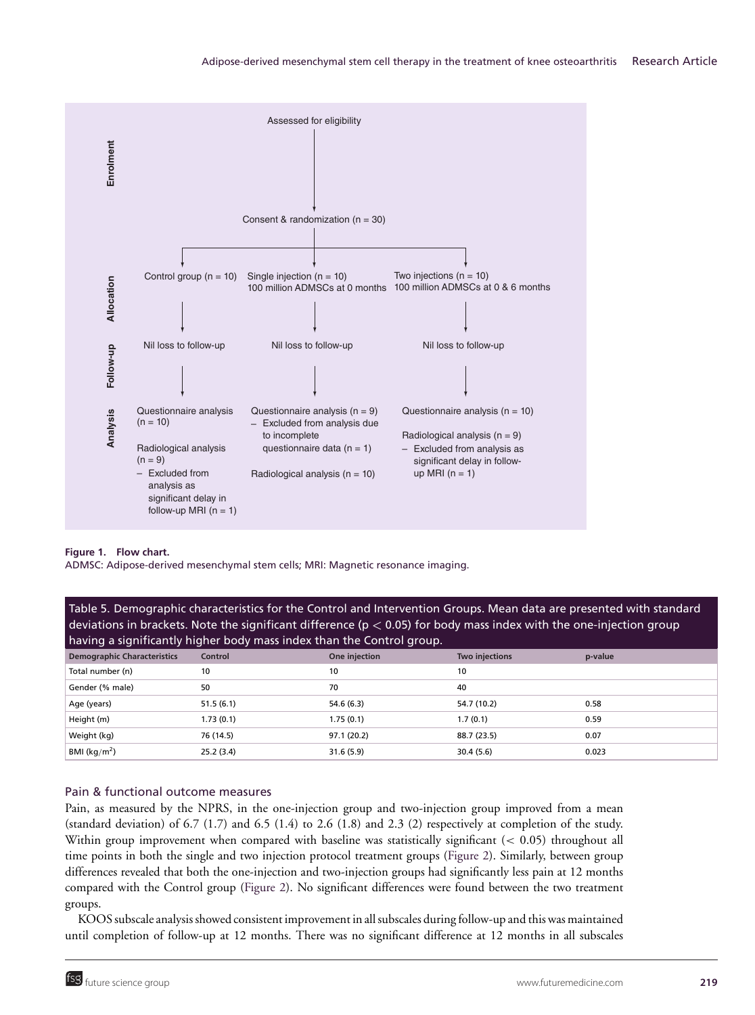

#### **Figure 1. Flow chart.**

ADMSC: Adipose-derived mesenchymal stem cells; MRI: Magnetic resonance imaging.

Table 5. Demographic characteristics for the Control and Intervention Groups. Mean data are presented with standard deviations in brackets. Note the significant difference (p *<* 0.05) for body mass index with the one-injection group

| having a significantly higher body mass index than the Control group. |           |               |                       |         |  |
|-----------------------------------------------------------------------|-----------|---------------|-----------------------|---------|--|
| <b>Demographic Characteristics</b>                                    | Control   | One injection | <b>Two injections</b> | p-value |  |
| Total number (n)                                                      | 10        | 10            | 10                    |         |  |
| Gender (% male)                                                       | 50        | 70            | 40                    |         |  |
| Age (years)                                                           | 51.5(6.1) | 54.6(6.3)     | 54.7 (10.2)           | 0.58    |  |
| Height (m)                                                            | 1.73(0.1) | 1.75 (0.1)    | 1.7(0.1)              | 0.59    |  |
| Weight (kg)                                                           | 76 (14.5) | 97.1 (20.2)   | 88.7 (23.5)           | 0.07    |  |
| BMI ( $kg/m2$ )                                                       | 25.2(3.4) | 31.6(5.9)     | 30.4(5.6)             | 0.023   |  |

#### Pain & functional outcome measures

Pain, as measured by the NPRS, in the one-injection group and two-injection group improved from a mean (standard deviation) of 6.7 (1.7) and 6.5 (1.4) to 2.6 (1.8) and 2.3 (2) respectively at completion of the study. Within group improvement when compared with baseline was statistically significant (< 0.05) throughout all time points in both the single and two injection protocol treatment groups (Figure 2). Similarly, between group differences revealed that both the one-injection and two-injection groups had significantly less pain at 12 months compared with the Control group (Figure 2). No significant differences were found between the two treatment groups.

KOOS subscale analysis showed consistent improvement in all subscales during follow-up and this was maintained until completion of follow-up at 12 months. There was no significant difference at 12 months in all subscales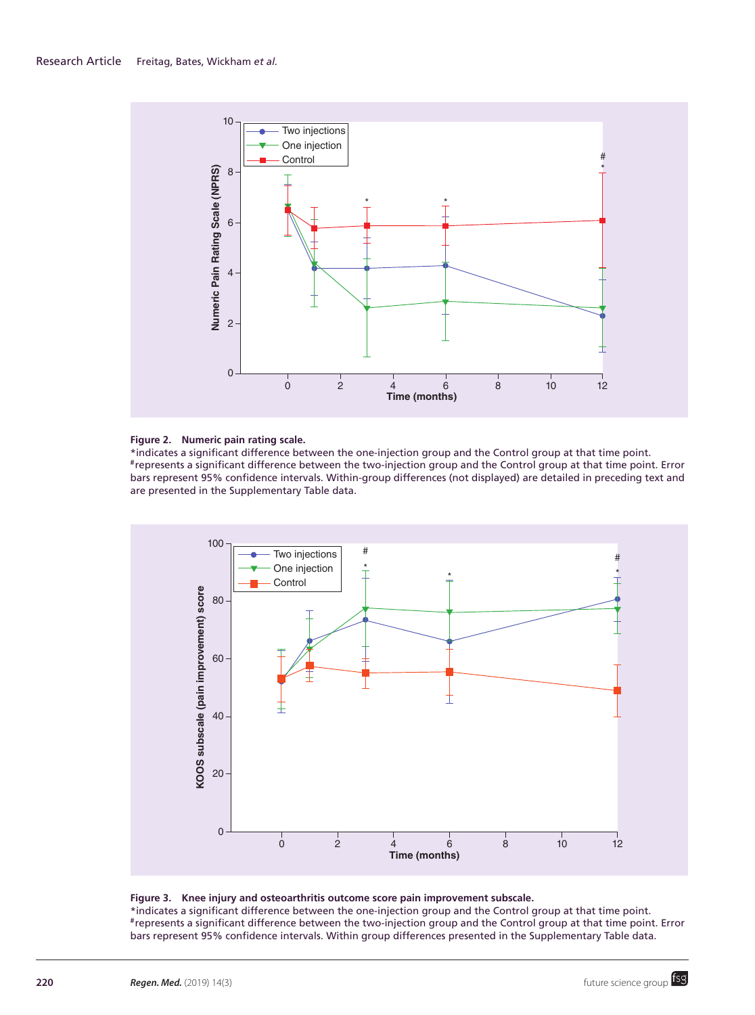

#### **Figure 2. Numeric pain rating scale.**

\*indicates a significant difference between the one-injection group and the Control group at that time point. #represents a significant difference between the two-injection group and the Control group at that time point. Error bars represent 95% confidence intervals. Within-group differences (not displayed) are detailed in preceding text and are presented in the Supplementary Table data.



#### **Figure 3. Knee injury and osteoarthritis outcome score pain improvement subscale.**

\*indicates a significant difference between the one-injection group and the Control group at that time point. #represents a significant difference between the two-injection group and the Control group at that time point. Error bars represent 95% confidence intervals. Within group differences presented in the Supplementary Table data.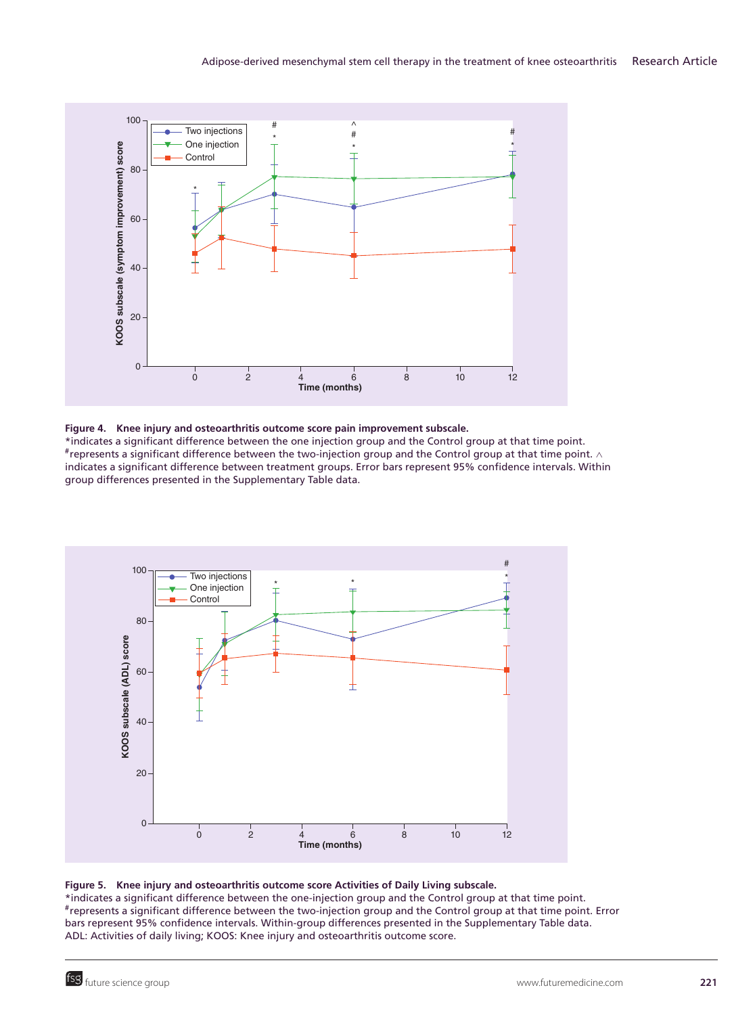

#### **Figure 4. Knee injury and osteoarthritis outcome score pain improvement subscale.**

\*indicates a significant difference between the one injection group and the Control group at that time point. #represents a significant difference between the two-injection group and the Control group at that time point. <sup>∧</sup> indicates a significant difference between treatment groups. Error bars represent 95% confidence intervals. Within group differences presented in the Supplementary Table data.



#### **Figure 5. Knee injury and osteoarthritis outcome score Activities of Daily Living subscale.**

\*indicates a significant difference between the one-injection group and the Control group at that time point. #represents a significant difference between the two-injection group and the Control group at that time point. Error bars represent 95% confidence intervals. Within-group differences presented in the Supplementary Table data. ADL: Activities of daily living; KOOS: Knee injury and osteoarthritis outcome score.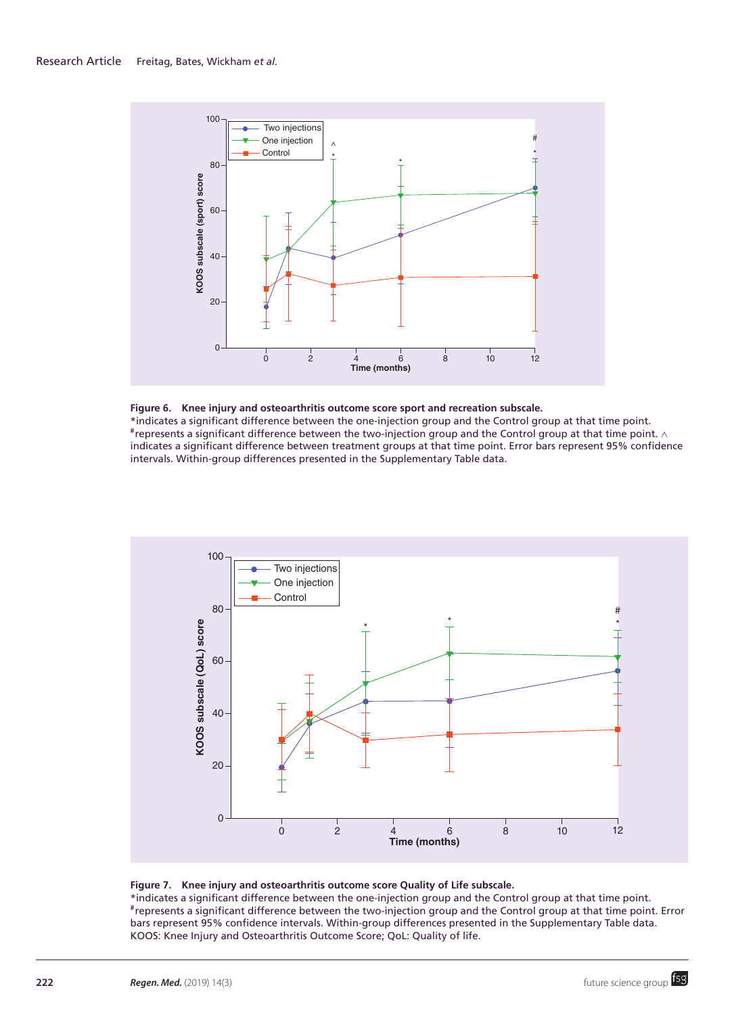



\*indicates a significant difference between the one-injection group and the Control group at that time point. #represents a significant difference between the two-injection group and the Control group at that time point. <sup>∧</sup> indicates a significant difference between treatment groups at that time point. Error bars represent 95% confidence intervals. Within-group differences presented in the Supplementary Table data.



#### **Figure 7. Knee injury and osteoarthritis outcome score Quality of Life subscale.**

\*indicates a significant difference between the one-injection group and the Control group at that time point. #represents a significant difference between the two-injection group and the Control group at that time point. Error bars represent 95% confidence intervals. Within-group differences presented in the Supplementary Table data. KOOS: Knee Injury and Osteoarthritis Outcome Score; QoL: Quality of life.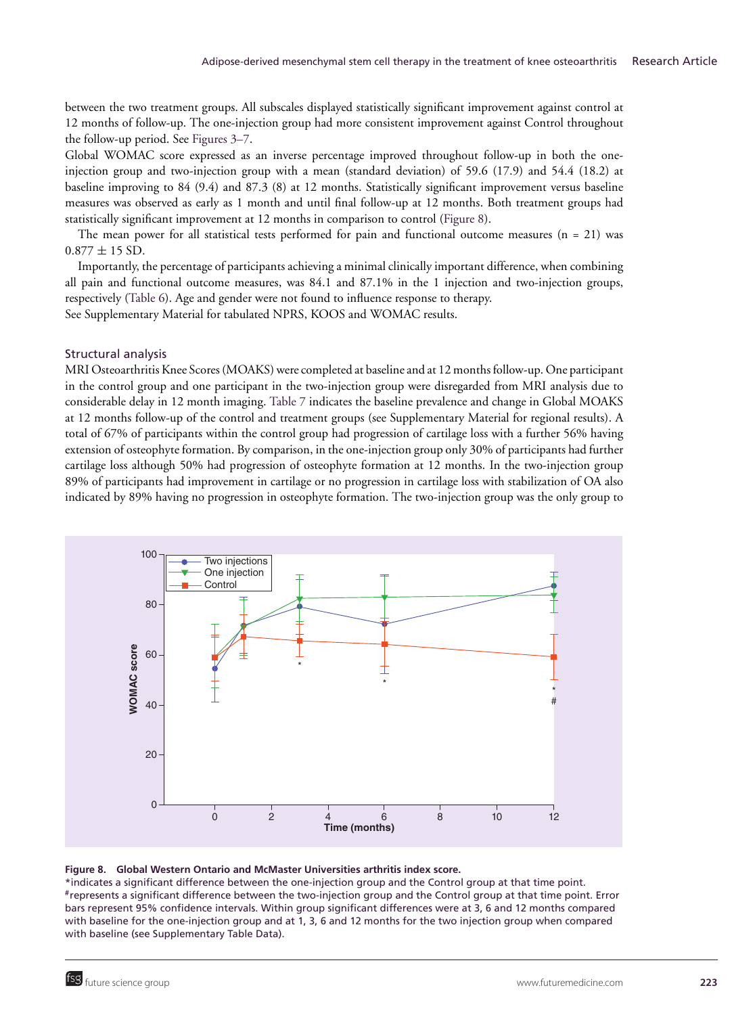between the two treatment groups. All subscales displayed statistically significant improvement against control at 12 months of follow-up. The one-injection group had more consistent improvement against Control throughout the follow-up period. See Figures 3–7.

Global WOMAC score expressed as an inverse percentage improved throughout follow-up in both the oneinjection group and two-injection group with a mean (standard deviation) of 59.6 (17.9) and 54.4 (18.2) at baseline improving to 84 (9.4) and 87.3 (8) at 12 months. Statistically significant improvement versus baseline measures was observed as early as 1 month and until final follow-up at 12 months. Both treatment groups had statistically significant improvement at 12 months in comparison to control (Figure 8).

The mean power for all statistical tests performed for pain and functional outcome measures ( $n = 21$ ) was  $0.877 \pm 15$  SD.

Importantly, the percentage of participants achieving a minimal clinically important difference, when combining all pain and functional outcome measures, was 84.1 and 87.1% in the 1 injection and two-injection groups, respectively (Table 6). Age and gender were not found to influence response to therapy.

See Supplementary Material for tabulated NPRS, KOOS and WOMAC results.

## Structural analysis

MRI Osteoarthritis Knee Scores (MOAKS) were completed at baseline and at 12 months follow-up. One participant in the control group and one participant in the two-injection group were disregarded from MRI analysis due to considerable delay in 12 month imaging. Table 7 indicates the baseline prevalence and change in Global MOAKS at 12 months follow-up of the control and treatment groups (see Supplementary Material for regional results). A total of 67% of participants within the control group had progression of cartilage loss with a further 56% having extension of osteophyte formation. By comparison, in the one-injection group only 30% of participants had further cartilage loss although 50% had progression of osteophyte formation at 12 months. In the two-injection group 89% of participants had improvement in cartilage or no progression in cartilage loss with stabilization of OA also indicated by 89% having no progression in osteophyte formation. The two-injection group was the only group to



#### **Figure 8. Global Western Ontario and McMaster Universities arthritis index score.**

\*indicates a significant difference between the one-injection group and the Control group at that time point. #represents a significant difference between the two-injection group and the Control group at that time point. Error bars represent 95% confidence intervals. Within group significant differences were at 3, 6 and 12 months compared with baseline for the one-injection group and at 1, 3, 6 and 12 months for the two injection group when compared with baseline (see Supplementary Table Data).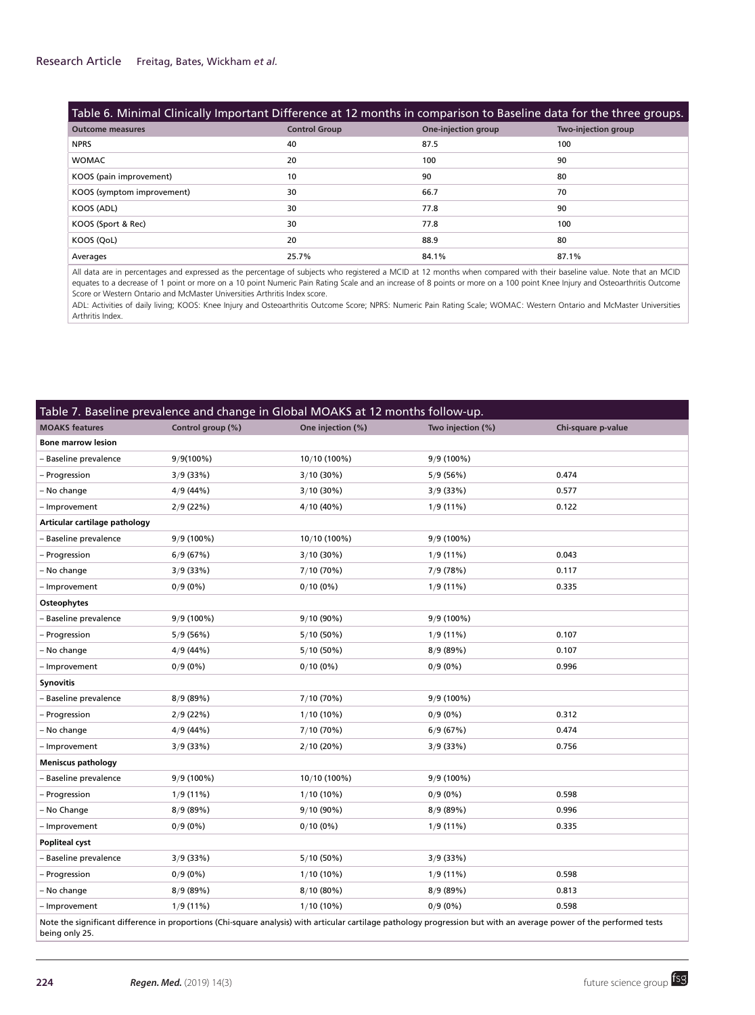| Table 6. Minimal Clinically Important Difference at 12 months in comparison to Baseline data for the three groups. |                      |                            |                            |  |  |
|--------------------------------------------------------------------------------------------------------------------|----------------------|----------------------------|----------------------------|--|--|
| <b>Outcome measures</b>                                                                                            | <b>Control Group</b> | <b>One-injection group</b> | <b>Two-injection group</b> |  |  |
| <b>NPRS</b>                                                                                                        | 40                   | 87.5                       | 100                        |  |  |
| <b>WOMAC</b>                                                                                                       | 20                   | 100                        | 90                         |  |  |
| KOOS (pain improvement)                                                                                            | 10                   | 90                         | 80                         |  |  |
| KOOS (symptom improvement)                                                                                         | 30                   | 66.7                       | 70                         |  |  |
| KOOS (ADL)                                                                                                         | 30                   | 77.8                       | 90                         |  |  |
| KOOS (Sport & Rec)                                                                                                 | 30                   | 77.8                       | 100                        |  |  |
| KOOS (QoL)                                                                                                         | 20                   | 88.9                       | 80                         |  |  |
| Averages                                                                                                           | 25.7%                | 84.1%                      | 87.1%                      |  |  |
|                                                                                                                    |                      |                            |                            |  |  |

All data are in percentages and expressed as the percentage of subjects who registered a MCID at 12 months when compared with their baseline value. Note that an MCID equates to a decrease of 1 point or more on a 10 point Numeric Pain Rating Scale and an increase of 8 points or more on a 100 point Knee Injury and Osteoarthritis Outcome Score or Western Ontario and McMaster Universities Arthritis Index score.

ADL: Activities of daily living; KOOS: Knee Injury and Osteoarthritis Outcome Score; NPRS: Numeric Pain Rating Scale; WOMAC: Western Ontario and McMaster Universities Arthritis Index.

| Table 7. Baseline prevalence and change in Global MOAKS at 12 months follow-up.                                                                                                        |                   |                   |                   |                    |  |  |
|----------------------------------------------------------------------------------------------------------------------------------------------------------------------------------------|-------------------|-------------------|-------------------|--------------------|--|--|
| <b>MOAKS</b> features                                                                                                                                                                  | Control group (%) | One injection (%) | Two injection (%) | Chi-square p-value |  |  |
| <b>Bone marrow lesion</b>                                                                                                                                                              |                   |                   |                   |                    |  |  |
| - Baseline prevalence                                                                                                                                                                  | $9/9(100\%)$      | 10/10 (100%)      | 9/9 (100%)        |                    |  |  |
| - Progression                                                                                                                                                                          | 3/9(33%)          | $3/10(30\%)$      | 5/9 (56%)         | 0.474              |  |  |
| – No change                                                                                                                                                                            | 4/9(44%)          | $3/10(30\%)$      | 3/9(33%)          | 0.577              |  |  |
| - Improvement                                                                                                                                                                          | 2/9(22%)          | $4/10(40\%)$      | 1/9(11%)          | 0.122              |  |  |
| Articular cartilage pathology                                                                                                                                                          |                   |                   |                   |                    |  |  |
| - Baseline prevalence                                                                                                                                                                  | 9/9 (100%)        | 10/10 (100%)      | 9/9 (100%)        |                    |  |  |
| - Progression                                                                                                                                                                          | 6/9(67%)          | $3/10(30\%)$      | 1/9(11%)          | 0.043              |  |  |
| – No change                                                                                                                                                                            | 3/9(33%)          | 7/10 (70%)        | 7/9 (78%)         | 0.117              |  |  |
| - Improvement                                                                                                                                                                          | $0/9(0\%)$        | $0/10(0\%)$       | 1/9(11%)          | 0.335              |  |  |
| Osteophytes                                                                                                                                                                            |                   |                   |                   |                    |  |  |
| - Baseline prevalence                                                                                                                                                                  | $9/9(100\%)$      | $9/10(90\%)$      | 9/9 (100%)        |                    |  |  |
| - Progression                                                                                                                                                                          | 5/9(56%)          | $5/10(50\%)$      | 1/9(11%)          | 0.107              |  |  |
| – No change                                                                                                                                                                            | 4/9(44%)          | $5/10(50\%)$      | 8/9 (89%)         | 0.107              |  |  |
| - Improvement                                                                                                                                                                          | $0/9(0\%)$        | $0/10(0\%)$       | $0/9(0\%)$        | 0.996              |  |  |
| <b>Synovitis</b>                                                                                                                                                                       |                   |                   |                   |                    |  |  |
| - Baseline prevalence                                                                                                                                                                  | 8/9(89%)          | 7/10 (70%)        | 9/9 (100%)        |                    |  |  |
| - Progression                                                                                                                                                                          | 2/9(22%)          | $1/10(10\%)$      | $0/9(0\%)$        | 0.312              |  |  |
| – No change                                                                                                                                                                            | 4/9(44%)          | 7/10(70%)         | 6/9(67%)          | 0.474              |  |  |
| - Improvement                                                                                                                                                                          | 3/9(33%)          | 2/10(20%)         | 3/9(33%)          | 0.756              |  |  |
| <b>Meniscus pathology</b>                                                                                                                                                              |                   |                   |                   |                    |  |  |
| - Baseline prevalence                                                                                                                                                                  | $9/9(100\%)$      | 10/10 (100%)      | 9/9 (100%)        |                    |  |  |
| - Progression                                                                                                                                                                          | 1/9(11%)          | $1/10(10\%)$      | $0/9(0\%)$        | 0.598              |  |  |
| – No Change                                                                                                                                                                            | 8/9(89%)          | $9/10(90\%)$      | 8/9 (89%)         | 0.996              |  |  |
| - Improvement                                                                                                                                                                          | $0/9(0\%)$        | $0/10(0\%)$       | 1/9(11%)          | 0.335              |  |  |
| Popliteal cyst                                                                                                                                                                         |                   |                   |                   |                    |  |  |
| - Baseline prevalence                                                                                                                                                                  | 3/9(33%)          | $5/10(50\%)$      | 3/9(33%)          |                    |  |  |
| - Progression                                                                                                                                                                          | $0/9(0\%)$        | $1/10(10\%)$      | 1/9(11%)          | 0.598              |  |  |
| – No change                                                                                                                                                                            | 8/9(89%)          | $8/10(80\%)$      | 8/9 (89%)         | 0.813              |  |  |
| - Improvement                                                                                                                                                                          | 1/9(11%)          | $1/10(10\%)$      | $0/9(0\%)$        | 0.598              |  |  |
| Note the significant difference in proportions (Chi-square analysis) with articular cartilage pathology progression but with an average power of the performed tests<br>being only 25. |                   |                   |                   |                    |  |  |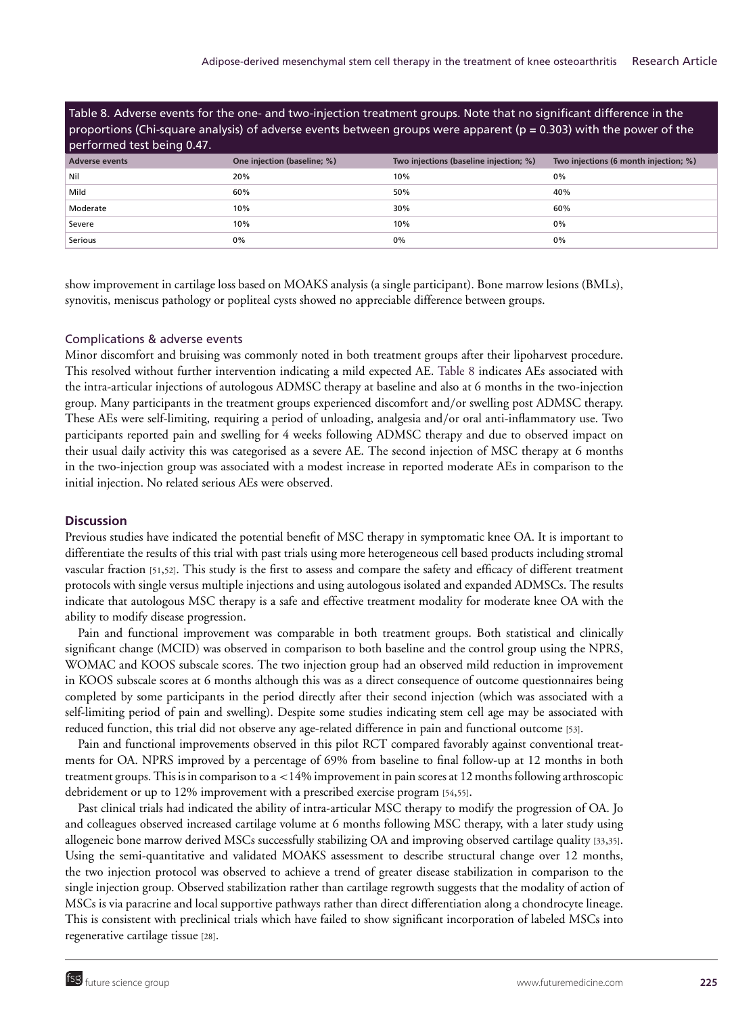| Table 8. Adverse events for the one- and two-injection treatment groups. Note that no significant difference in the<br>proportions (Chi-square analysis) of adverse events between groups were apparent ( $p = 0.303$ ) with the power of the<br>performed test being 0.47. |                             |                                        |                                       |  |  |
|-----------------------------------------------------------------------------------------------------------------------------------------------------------------------------------------------------------------------------------------------------------------------------|-----------------------------|----------------------------------------|---------------------------------------|--|--|
| <b>Adverse events</b>                                                                                                                                                                                                                                                       | One injection (baseline; %) | Two injections (baseline injection; %) | Two injections (6 month injection; %) |  |  |
| Nil                                                                                                                                                                                                                                                                         | 20%                         | 10%                                    | 0%                                    |  |  |
| Mild                                                                                                                                                                                                                                                                        | 60%                         | 50%                                    | 40%                                   |  |  |
| Moderate                                                                                                                                                                                                                                                                    | 10%                         | 30%                                    | 60%                                   |  |  |
| Severe                                                                                                                                                                                                                                                                      | 10%                         | 10%                                    | 0%                                    |  |  |
| Serious                                                                                                                                                                                                                                                                     | $0\%$                       | 0%                                     | 0%                                    |  |  |

show improvement in cartilage loss based on MOAKS analysis (a single participant). Bone marrow lesions (BMLs), synovitis, meniscus pathology or popliteal cysts showed no appreciable difference between groups.

#### Complications & adverse events

Minor discomfort and bruising was commonly noted in both treatment groups after their lipoharvest procedure. This resolved without further intervention indicating a mild expected AE. Table 8 indicates AEs associated with the intra-articular injections of autologous ADMSC therapy at baseline and also at 6 months in the two-injection group. Many participants in the treatment groups experienced discomfort and/or swelling post ADMSC therapy. These AEs were self-limiting, requiring a period of unloading, analgesia and/or oral anti-inflammatory use. Two participants reported pain and swelling for 4 weeks following ADMSC therapy and due to observed impact on their usual daily activity this was categorised as a severe AE. The second injection of MSC therapy at 6 months in the two-injection group was associated with a modest increase in reported moderate AEs in comparison to the initial injection. No related serious AEs were observed.

#### **Discussion**

Previous studies have indicated the potential benefit of MSC therapy in symptomatic knee OA. It is important to differentiate the results of this trial with past trials using more heterogeneous cell based products including stromal vascular fraction [51,52]. This study is the first to assess and compare the safety and efficacy of different treatment protocols with single versus multiple injections and using autologous isolated and expanded ADMSCs. The results indicate that autologous MSC therapy is a safe and effective treatment modality for moderate knee OA with the ability to modify disease progression.

Pain and functional improvement was comparable in both treatment groups. Both statistical and clinically significant change (MCID) was observed in comparison to both baseline and the control group using the NPRS, WOMAC and KOOS subscale scores. The two injection group had an observed mild reduction in improvement in KOOS subscale scores at 6 months although this was as a direct consequence of outcome questionnaires being completed by some participants in the period directly after their second injection (which was associated with a self-limiting period of pain and swelling). Despite some studies indicating stem cell age may be associated with reduced function, this trial did not observe any age-related difference in pain and functional outcome [53].

Pain and functional improvements observed in this pilot RCT compared favorably against conventional treatments for OA. NPRS improved by a percentage of 69% from baseline to final follow-up at 12 months in both treatment groups. This is in comparison to a <14% improvement in pain scores at 12 months following arthroscopic debridement or up to 12% improvement with a prescribed exercise program [54,55].

Past clinical trials had indicated the ability of intra-articular MSC therapy to modify the progression of OA. Jo and colleagues observed increased cartilage volume at 6 months following MSC therapy, with a later study using allogeneic bone marrow derived MSCs successfully stabilizing OA and improving observed cartilage quality [33,35]. Using the semi-quantitative and validated MOAKS assessment to describe structural change over 12 months, the two injection protocol was observed to achieve a trend of greater disease stabilization in comparison to the single injection group. Observed stabilization rather than cartilage regrowth suggests that the modality of action of MSCs is via paracrine and local supportive pathways rather than direct differentiation along a chondrocyte lineage. This is consistent with preclinical trials which have failed to show significant incorporation of labeled MSCs into regenerative cartilage tissue [28].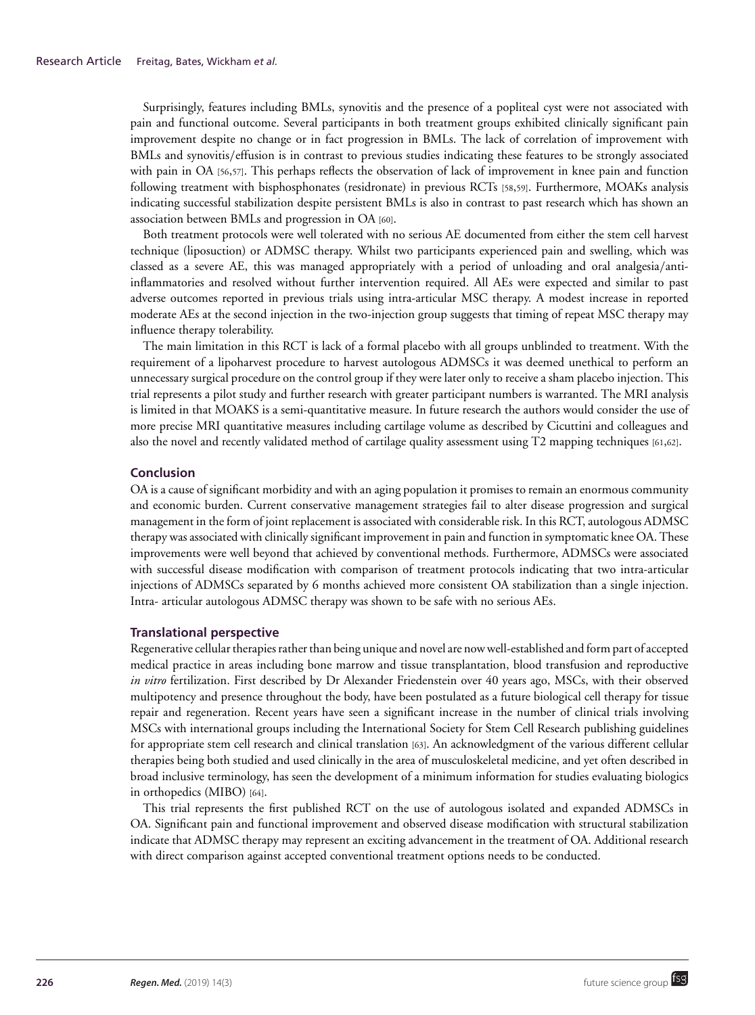Surprisingly, features including BMLs, synovitis and the presence of a popliteal cyst were not associated with pain and functional outcome. Several participants in both treatment groups exhibited clinically significant pain improvement despite no change or in fact progression in BMLs. The lack of correlation of improvement with BMLs and synovitis/effusion is in contrast to previous studies indicating these features to be strongly associated with pain in OA [56,57]. This perhaps reflects the observation of lack of improvement in knee pain and function following treatment with bisphosphonates (residronate) in previous RCTs [58,59]. Furthermore, MOAKs analysis indicating successful stabilization despite persistent BMLs is also in contrast to past research which has shown an association between BMLs and progression in OA [60].

Both treatment protocols were well tolerated with no serious AE documented from either the stem cell harvest technique (liposuction) or ADMSC therapy. Whilst two participants experienced pain and swelling, which was classed as a severe AE, this was managed appropriately with a period of unloading and oral analgesia/antiinflammatories and resolved without further intervention required. All AEs were expected and similar to past adverse outcomes reported in previous trials using intra-articular MSC therapy. A modest increase in reported moderate AEs at the second injection in the two-injection group suggests that timing of repeat MSC therapy may influence therapy tolerability.

The main limitation in this RCT is lack of a formal placebo with all groups unblinded to treatment. With the requirement of a lipoharvest procedure to harvest autologous ADMSCs it was deemed unethical to perform an unnecessary surgical procedure on the control group if they were later only to receive a sham placebo injection. This trial represents a pilot study and further research with greater participant numbers is warranted. The MRI analysis is limited in that MOAKS is a semi-quantitative measure. In future research the authors would consider the use of more precise MRI quantitative measures including cartilage volume as described by Cicuttini and colleagues and also the novel and recently validated method of cartilage quality assessment using T2 mapping techniques [61,62].

## **Conclusion**

OA is a cause of significant morbidity and with an aging population it promises to remain an enormous community and economic burden. Current conservative management strategies fail to alter disease progression and surgical management in the form of joint replacement is associated with considerable risk. In this RCT, autologous ADMSC therapy was associated with clinically significant improvement in pain and function in symptomatic knee OA. These improvements were well beyond that achieved by conventional methods. Furthermore, ADMSCs were associated with successful disease modification with comparison of treatment protocols indicating that two intra-articular injections of ADMSCs separated by 6 months achieved more consistent OA stabilization than a single injection. Intra- articular autologous ADMSC therapy was shown to be safe with no serious AEs.

#### **Translational perspective**

Regenerative cellular therapies rather than being unique and novel are now well-established and form part of accepted medical practice in areas including bone marrow and tissue transplantation, blood transfusion and reproductive *in vitro* fertilization. First described by Dr Alexander Friedenstein over 40 years ago, MSCs, with their observed multipotency and presence throughout the body, have been postulated as a future biological cell therapy for tissue repair and regeneration. Recent years have seen a significant increase in the number of clinical trials involving MSCs with international groups including the International Society for Stem Cell Research publishing guidelines for appropriate stem cell research and clinical translation [63]. An acknowledgment of the various different cellular therapies being both studied and used clinically in the area of musculoskeletal medicine, and yet often described in broad inclusive terminology, has seen the development of a minimum information for studies evaluating biologics in orthopedics (MIBO) [64].

This trial represents the first published RCT on the use of autologous isolated and expanded ADMSCs in OA. Significant pain and functional improvement and observed disease modification with structural stabilization indicate that ADMSC therapy may represent an exciting advancement in the treatment of OA. Additional research with direct comparison against accepted conventional treatment options needs to be conducted.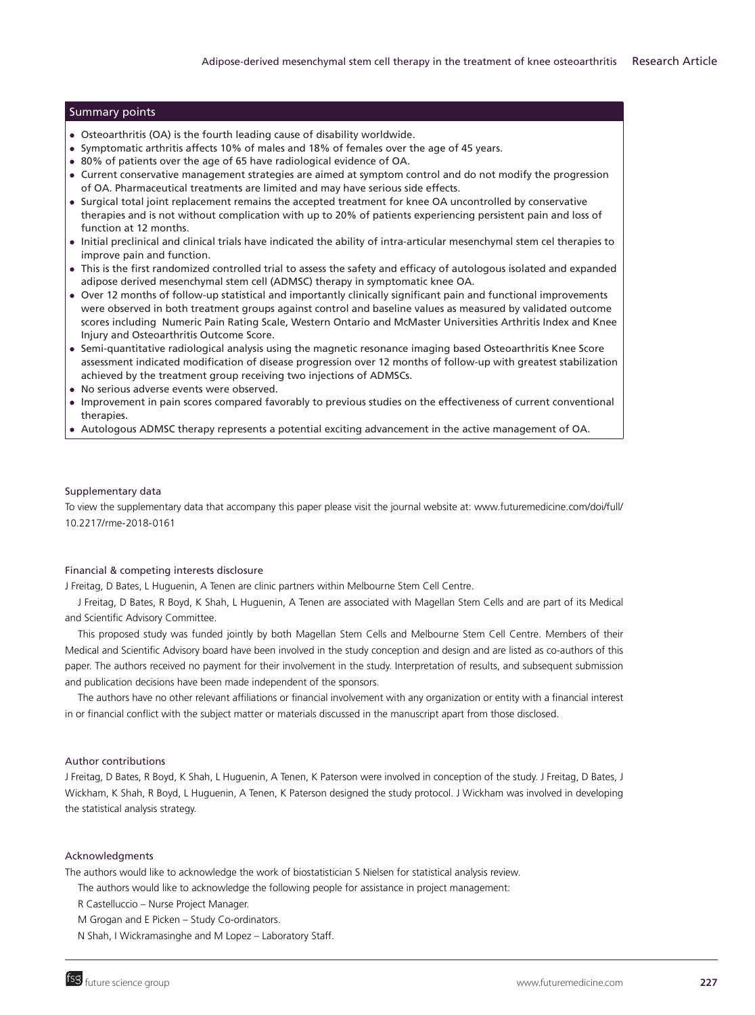#### Summary points

- Osteoarthritis (OA) is the fourth leading cause of disability worldwide.
- Symptomatic arthritis affects 10% of males and 18% of females over the age of 45 years.
- 80% of patients over the age of 65 have radiological evidence of OA.
- Current conservative management strategies are aimed at symptom control and do not modify the progression of OA. Pharmaceutical treatments are limited and may have serious side effects.
- Surgical total joint replacement remains the accepted treatment for knee OA uncontrolled by conservative therapies and is not without complication with up to 20% of patients experiencing persistent pain and loss of function at 12 months.
- Initial preclinical and clinical trials have indicated the ability of intra-articular mesenchymal stem cel therapies to improve pain and function.
- This is the first randomized controlled trial to assess the safety and efficacy of autologous isolated and expanded adipose derived mesenchymal stem cell (ADMSC) therapy in symptomatic knee OA.
- Over 12 months of follow-up statistical and importantly clinically significant pain and functional improvements were observed in both treatment groups against control and baseline values as measured by validated outcome scores including Numeric Pain Rating Scale, Western Ontario and McMaster Universities Arthritis Index and Knee Injury and Osteoarthritis Outcome Score.
- Semi-quantitative radiological analysis using the magnetic resonance imaging based Osteoarthritis Knee Score assessment indicated modification of disease progression over 12 months of follow-up with greatest stabilization achieved by the treatment group receiving two injections of ADMSCs.
- No serious adverse events were observed.
- Improvement in pain scores compared favorably to previous studies on the effectiveness of current conventional therapies.
- Autologous ADMSC therapy represents a potential exciting advancement in the active management of OA.

#### Supplementary data

[To view the supplementary data that accompany this paper please visit the journal website at: www.futuremedicine.com/doi/full/](http://www.futuremedicine.com/doi/full/10.2217/rme-2018-0161) 10.2217/rme-2018-0161

#### Financial & competing interests disclosure

J Freitag, D Bates, L Huguenin, A Tenen are clinic partners within Melbourne Stem Cell Centre.

J Freitag, D Bates, R Boyd, K Shah, L Huguenin, A Tenen are associated with Magellan Stem Cells and are part of its Medical and Scientific Advisory Committee.

This proposed study was funded jointly by both Magellan Stem Cells and Melbourne Stem Cell Centre. Members of their Medical and Scientific Advisory board have been involved in the study conception and design and are listed as co-authors of this paper. The authors received no payment for their involvement in the study. Interpretation of results, and subsequent submission and publication decisions have been made independent of the sponsors.

The authors have no other relevant affiliations or financial involvement with any organization or entity with a financial interest in or financial conflict with the subject matter or materials discussed in the manuscript apart from those disclosed.

#### Author contributions

J Freitag, D Bates, R Boyd, K Shah, L Huguenin, A Tenen, K Paterson were involved in conception of the study. J Freitag, D Bates, J Wickham, K Shah, R Boyd, L Huguenin, A Tenen, K Paterson designed the study protocol. J Wickham was involved in developing the statistical analysis strategy.

#### Acknowledgments

The authors would like to acknowledge the work of biostatistician S Nielsen for statistical analysis review.

The authors would like to acknowledge the following people for assistance in project management:

R Castelluccio – Nurse Project Manager.

M Grogan and E Picken – Study Co-ordinators.

N Shah, I Wickramasinghe and M Lopez – Laboratory Staff.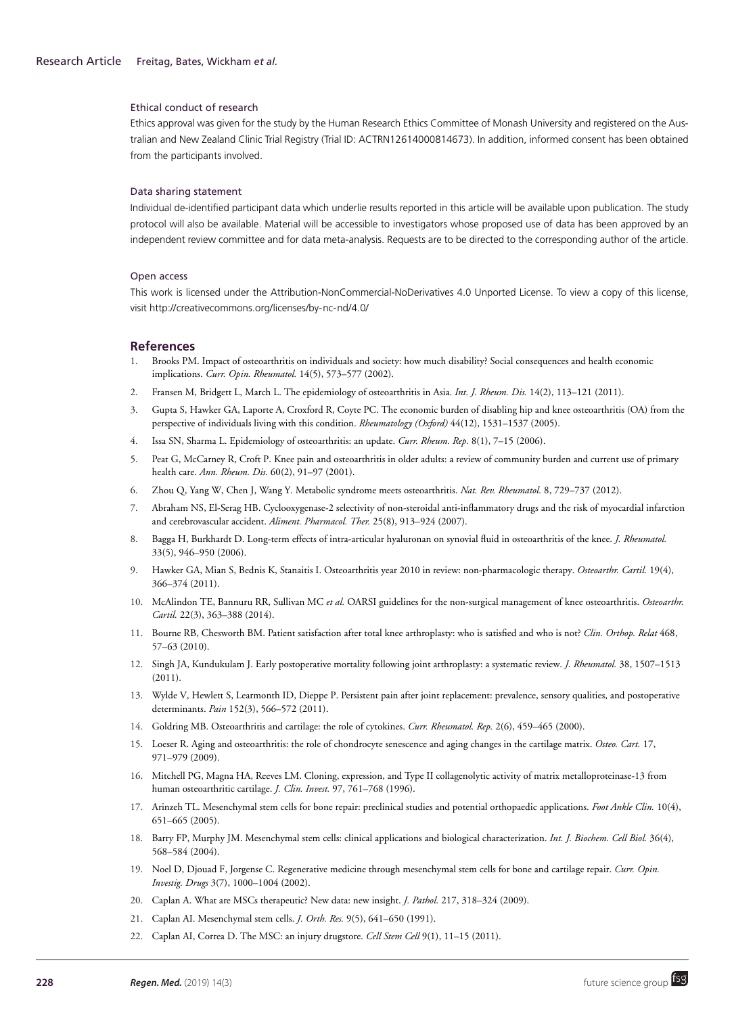#### Ethical conduct of research

Ethics approval was given for the study by the Human Research Ethics Committee of Monash University and registered on the Australian and New Zealand Clinic Trial Registry (Trial ID: ACTRN12614000814673). In addition, informed consent has been obtained from the participants involved.

#### Data sharing statement

Individual de-identified participant data which underlie results reported in this article will be available upon publication. The study protocol will also be available. Material will be accessible to investigators whose proposed use of data has been approved by an independent review committee and for data meta-analysis. Requests are to be directed to the corresponding author of the article.

#### Open access

This work is licensed under the Attribution-NonCommercial-NoDerivatives 4.0 Unported License. To view a copy of this license, visit<http://creativecommons.org/licenses/by-nc-nd/4.0/>

#### **References**

- 1. Brooks PM. Impact of osteoarthritis on individuals and society: how much disability? Social consequences and health economic implications. *Curr. Opin. Rheumatol.* 14(5), 573–577 (2002).
- 2. Fransen M, Bridgett L, March L. The epidemiology of osteoarthritis in Asia. *Int. J. Rheum. Dis.* 14(2), 113–121 (2011).
- 3. Gupta S, Hawker GA, Laporte A, Croxford R, Coyte PC. The economic burden of disabling hip and knee osteoarthritis (OA) from the perspective of individuals living with this condition. *Rheumatology (Oxford)* 44(12), 1531–1537 (2005).
- 4. Issa SN, Sharma L. Epidemiology of osteoarthritis: an update. *Curr. Rheum. Rep.* 8(1), 7–15 (2006).
- 5. Peat G, McCarney R, Croft P. Knee pain and osteoarthritis in older adults: a review of community burden and current use of primary health care. *Ann. Rheum. Dis.* 60(2), 91–97 (2001).
- 6. Zhou Q, Yang W, Chen J, Wang Y. Metabolic syndrome meets osteoarthritis. *Nat. Rev. Rheumatol.* 8, 729–737 (2012).
- 7. Abraham NS, El-Serag HB. Cyclooxygenase-2 selectivity of non-steroidal anti-inflammatory drugs and the risk of myocardial infarction and cerebrovascular accident. *Aliment. Pharmacol. Ther.* 25(8), 913–924 (2007).
- 8. Bagga H, Burkhardt D. Long-term effects of intra-articular hyaluronan on synovial fluid in osteoarthritis of the knee. *J. Rheumatol.* 33(5), 946–950 (2006).
- 9. Hawker GA, Mian S, Bednis K, Stanaitis I. Osteoarthritis year 2010 in review: non-pharmacologic therapy. *Osteoarthr. Cartil.* 19(4), 366–374 (2011).
- 10. McAlindon TE, Bannuru RR, Sullivan MC *et al.* OARSI guidelines for the non-surgical management of knee osteoarthritis. *Osteoarthr. Cartil.* 22(3), 363–388 (2014).
- 11. Bourne RB, Chesworth BM. Patient satisfaction after total knee arthroplasty: who is satisfied and who is not? *Clin. Orthop. Relat* 468, 57–63 (2010).
- 12. Singh JA, Kundukulam J. Early postoperative mortality following joint arthroplasty: a systematic review. *J. Rheumatol.* 38, 1507–1513 (2011).
- 13. Wylde V, Hewlett S, Learmonth ID, Dieppe P. Persistent pain after joint replacement: prevalence, sensory qualities, and postoperative determinants. *Pain* 152(3), 566–572 (2011).
- 14. Goldring MB. Osteoarthritis and cartilage: the role of cytokines. *Curr. Rheumatol. Rep.* 2(6), 459–465 (2000).
- 15. Loeser R. Aging and osteoarthritis: the role of chondrocyte senescence and aging changes in the cartilage matrix. *Osteo. Cart.* 17, 971–979 (2009).
- 16. Mitchell PG, Magna HA, Reeves LM. Cloning, expression, and Type II collagenolytic activity of matrix metalloproteinase-13 from human osteoarthritic cartilage. *J. Clin. Invest.* 97, 761–768 (1996).
- 17. Arinzeh TL. Mesenchymal stem cells for bone repair: preclinical studies and potential orthopaedic applications. *Foot Ankle Clin.* 10(4), 651–665 (2005).
- 18. Barry FP, Murphy JM. Mesenchymal stem cells: clinical applications and biological characterization. *Int. J. Biochem. Cell Biol.* 36(4), 568–584 (2004).
- 19. Noel D, Djouad F, Jorgense C. Regenerative medicine through mesenchymal stem cells for bone and cartilage repair. *Curr. Opin. Investig. Drugs* 3(7), 1000–1004 (2002).
- 20. Caplan A. What are MSCs therapeutic? New data: new insight. *J. Pathol.* 217, 318–324 (2009).
- 21. Caplan AI. Mesenchymal stem cells. *J. Orth. Res.* 9(5), 641–650 (1991).
- 22. Caplan AI, Correa D. The MSC: an injury drugstore. *Cell Stem Cell* 9(1), 11–15 (2011).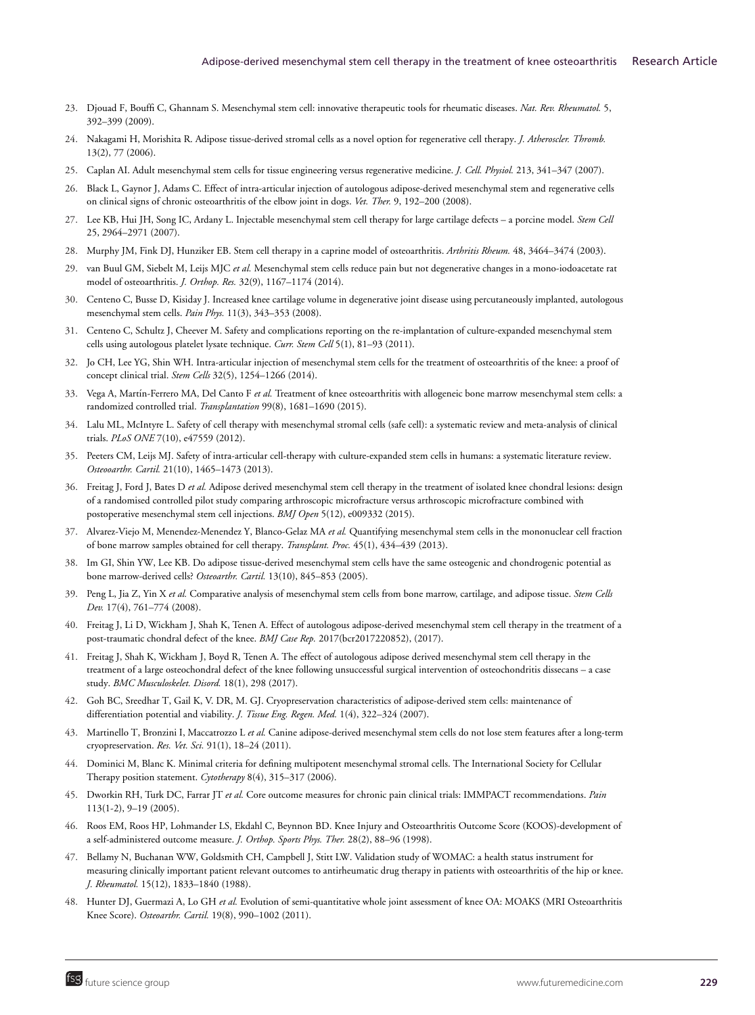- 23. Djouad F, Bouffi C, Ghannam S. Mesenchymal stem cell: innovative therapeutic tools for rheumatic diseases. *Nat. Rev. Rheumatol.* 5, 392–399 (2009).
- 24. Nakagami H, Morishita R. Adipose tissue-derived stromal cells as a novel option for regenerative cell therapy. *J. Atheroscler. Thromb.* 13(2), 77 (2006).
- 25. Caplan AI. Adult mesenchymal stem cells for tissue engineering versus regenerative medicine. *J. Cell. Physiol.* 213, 341–347 (2007).
- 26. Black L, Gaynor J, Adams C. Effect of intra-articular injection of autologous adipose-derived mesenchymal stem and regenerative cells on clinical signs of chronic osteoarthritis of the elbow joint in dogs. *Vet. Ther.* 9, 192–200 (2008).
- 27. Lee KB, Hui JH, Song IC, Ardany L. Injectable mesenchymal stem cell therapy for large cartilage defects a porcine model. *Stem Cell* 25, 2964–2971 (2007).
- 28. Murphy JM, Fink DJ, Hunziker EB. Stem cell therapy in a caprine model of osteoarthritis. *Arthritis Rheum.* 48, 3464–3474 (2003).
- 29. van Buul GM, Siebelt M, Leijs MJC *et al.* Mesenchymal stem cells reduce pain but not degenerative changes in a mono-iodoacetate rat model of osteoarthritis. *J. Orthop. Res.* 32(9), 1167–1174 (2014).
- 30. Centeno C, Busse D, Kisiday J. Increased knee cartilage volume in degenerative joint disease using percutaneously implanted, autologous mesenchymal stem cells. *Pain Phys.* 11(3), 343–353 (2008).
- 31. Centeno C, Schultz J, Cheever M. Safety and complications reporting on the re-implantation of culture-expanded mesenchymal stem cells using autologous platelet lysate technique. *Curr. Stem Cell* 5(1), 81–93 (2011).
- 32. Jo CH, Lee YG, Shin WH. Intra-articular injection of mesenchymal stem cells for the treatment of osteoarthritis of the knee: a proof of concept clinical trial. *Stem Cells* 32(5), 1254–1266 (2014).
- 33. Vega A, Mart´ın-Ferrero MA, Del Canto F *et al.* Treatment of knee osteoarthritis with allogeneic bone marrow mesenchymal stem cells: a randomized controlled trial. *Transplantation* 99(8), 1681–1690 (2015).
- 34. Lalu ML, McIntyre L. Safety of cell therapy with mesenchymal stromal cells (safe cell): a systematic review and meta-analysis of clinical trials. *PLoS ONE* 7(10), e47559 (2012).
- 35. Peeters CM, Leijs MJ. Safety of intra-articular cell-therapy with culture-expanded stem cells in humans: a systematic literature review. *Osteooarthr. Cartil.* 21(10), 1465–1473 (2013).
- 36. Freitag J, Ford J, Bates D *et al.* Adipose derived mesenchymal stem cell therapy in the treatment of isolated knee chondral lesions: design of a randomised controlled pilot study comparing arthroscopic microfracture versus arthroscopic microfracture combined with postoperative mesenchymal stem cell injections. *BMJ Open* 5(12), e009332 (2015).
- 37. Alvarez-Viejo M, Menendez-Menendez Y, Blanco-Gelaz MA *et al.* Quantifying mesenchymal stem cells in the mononuclear cell fraction of bone marrow samples obtained for cell therapy. *Transplant. Proc.* 45(1), 434–439 (2013).
- 38. Im GI, Shin YW, Lee KB. Do adipose tissue-derived mesenchymal stem cells have the same osteogenic and chondrogenic potential as bone marrow-derived cells? *Osteoarthr. Cartil.* 13(10), 845–853 (2005).
- 39. Peng L, Jia Z, Yin X *et al.* Comparative analysis of mesenchymal stem cells from bone marrow, cartilage, and adipose tissue. *Stem Cells Dev.* 17(4), 761–774 (2008).
- 40. Freitag J, Li D, Wickham J, Shah K, Tenen A. Effect of autologous adipose-derived mesenchymal stem cell therapy in the treatment of a post-traumatic chondral defect of the knee. *BMJ Case Rep.* 2017(bcr2017220852), (2017).
- 41. Freitag J, Shah K, Wickham J, Boyd R, Tenen A. The effect of autologous adipose derived mesenchymal stem cell therapy in the treatment of a large osteochondral defect of the knee following unsuccessful surgical intervention of osteochondritis dissecans – a case study. *BMC Musculoskelet. Disord.* 18(1), 298 (2017).
- 42. Goh BC, Sreedhar T, Gail K, V. DR, M. GJ. Cryopreservation characteristics of adipose-derived stem cells: maintenance of differentiation potential and viability. *J. Tissue Eng. Regen. Med.* 1(4), 322–324 (2007).
- 43. Martinello T, Bronzini I, Maccatrozzo L *et al.* Canine adipose-derived mesenchymal stem cells do not lose stem features after a long-term cryopreservation. *Res. Vet. Sci.* 91(1), 18–24 (2011).
- 44. Dominici M, Blanc K. Minimal criteria for defining multipotent mesenchymal stromal cells. The International Society for Cellular Therapy position statement. *Cytotherapy* 8(4), 315–317 (2006).
- 45. Dworkin RH, Turk DC, Farrar JT *et al.* Core outcome measures for chronic pain clinical trials: IMMPACT recommendations. *Pain* 113(1-2), 9–19 (2005).
- 46. Roos EM, Roos HP, Lohmander LS, Ekdahl C, Beynnon BD. Knee Injury and Osteoarthritis Outcome Score (KOOS)-development of a self-administered outcome measure. *J. Orthop. Sports Phys. Ther.* 28(2), 88–96 (1998).
- 47. Bellamy N, Buchanan WW, Goldsmith CH, Campbell J, Stitt LW. Validation study of WOMAC: a health status instrument for measuring clinically important patient relevant outcomes to antirheumatic drug therapy in patients with osteoarthritis of the hip or knee. *J. Rheumatol.* 15(12), 1833–1840 (1988).
- 48. Hunter DJ, Guermazi A, Lo GH *et al.* Evolution of semi-quantitative whole joint assessment of knee OA: MOAKS (MRI Osteoarthritis Knee Score). *Osteoarthr. Cartil.* 19(8), 990–1002 (2011).